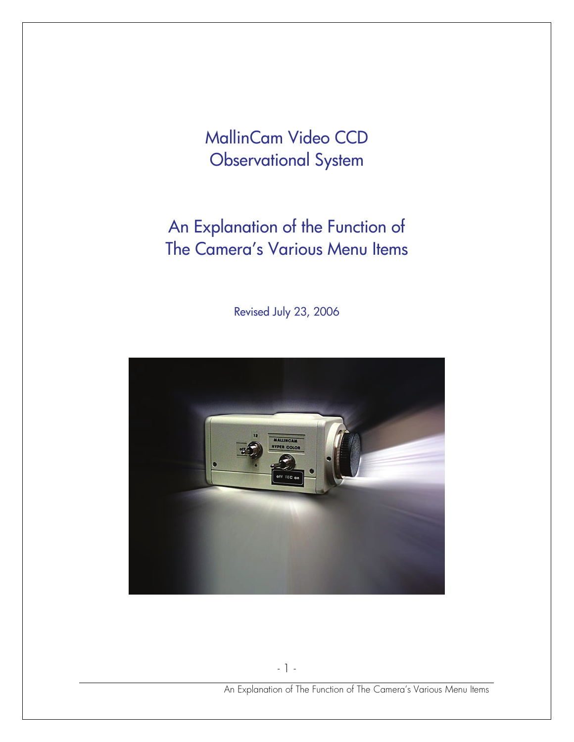MallinCam Video CCD Observational System

# An Explanation of the Function of The Camera's Various Menu Items

Revised July 23, 2006

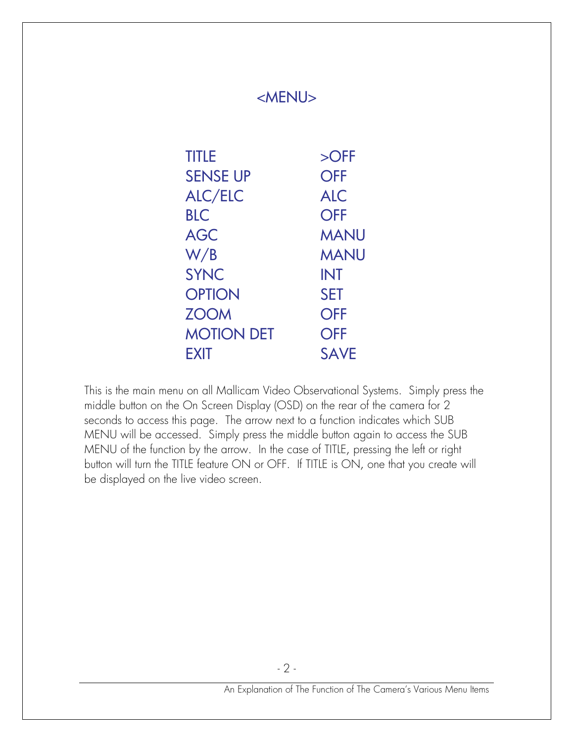| <b>TITLE</b>    | $\overline{\text{OFF}}$         |
|-----------------|---------------------------------|
| <b>SENSE UP</b> | <b>OFF</b>                      |
| <b>ALC/ELC</b>  | <b>ALC</b>                      |
| <b>BLC</b>      | <b>OFF</b>                      |
| <b>AGC</b>      | <b>MANU</b>                     |
| W/B             | <b>MANU</b>                     |
| <b>SYNC</b>     | <b>INT</b>                      |
| <b>OPTION</b>   | <b>SET</b>                      |
| <b>ZOOM</b>     | <b>OFF</b>                      |
|                 | <b>MOTION DET</b><br><b>OFF</b> |
| <b>EXIT</b>     | <b>SAVE</b>                     |

This is the main menu on all Mallicam Video Observational Systems. Simply press the middle button on the On Screen Display (OSD) on the rear of the camera for 2 seconds to access this page. The arrow next to a function indicates which SUB MENU will be accessed. Simply press the middle button again to access the SUB MENU of the function by the arrow. In the case of TITLE, pressing the left or right button will turn the TITLE feature ON or OFF. If TITLE is ON, one that you create will be displayed on the live video screen.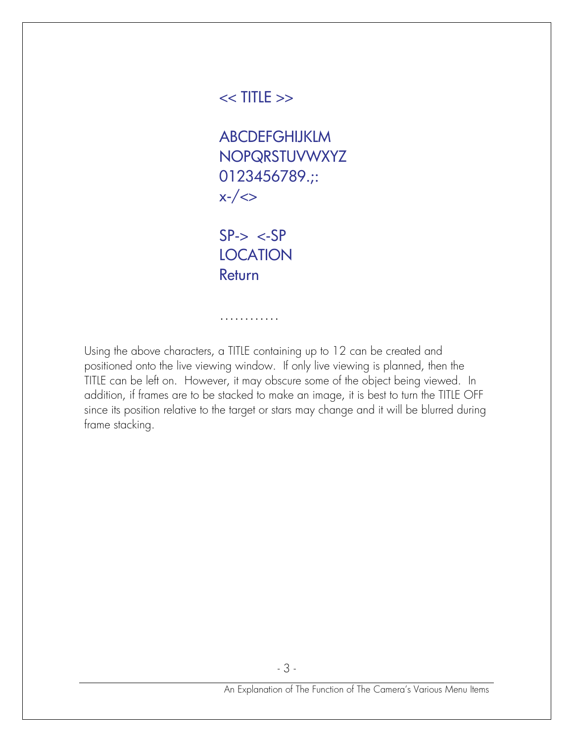## $<<$  TITLE  $>>$

ABCDEFGHIJKLM NOPQRSTUVWXYZ 0123456789.;:  $x-$ / $\Leftrightarrow$ 

 $SP-> <-SP$ **LOCATION** Return

…………

Using the above characters, a TITLE containing up to 12 can be created and positioned onto the live viewing window. If only live viewing is planned, then the TITLE can be left on. However, it may obscure some of the object being viewed. In addition, if frames are to be stacked to make an image, it is best to turn the TITLE OFF since its position relative to the target or stars may change and it will be blurred during frame stacking.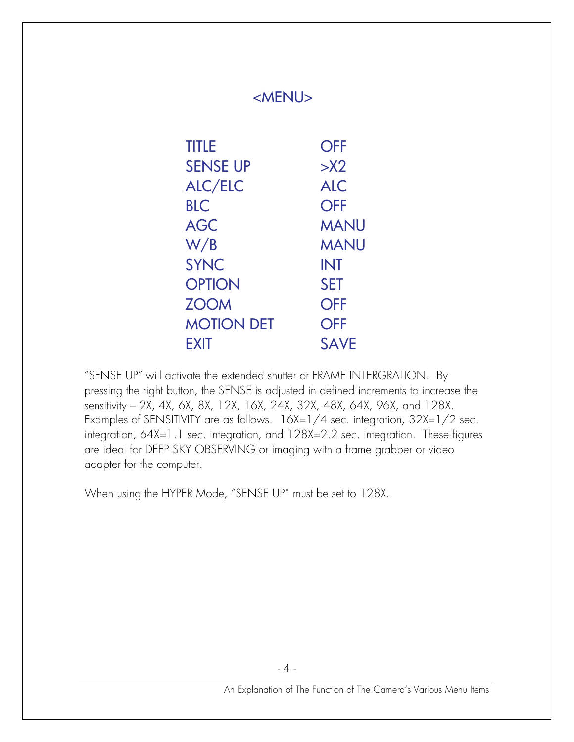| <b>TITLE</b> |                   | <b>OFF</b>  |
|--------------|-------------------|-------------|
|              | <b>SENSE UP</b>   | >12         |
|              | <b>ALC/ELC</b>    | <b>ALC</b>  |
| <b>BLC</b>   |                   | <b>OFF</b>  |
| <b>AGC</b>   |                   | <b>MANU</b> |
| W/B          |                   | <b>MANU</b> |
| <b>SYNC</b>  |                   | <b>INT</b>  |
|              | <b>OPTION</b>     | <b>SET</b>  |
| <b>ZOOM</b>  |                   | <b>OFF</b>  |
|              | <b>MOTION DET</b> | <b>OFF</b>  |
| <b>EXIT</b>  |                   | <b>SAVE</b> |

"SENSE UP" will activate the extended shutter or FRAME INTERGRATION. By pressing the right button, the SENSE is adjusted in defined increments to increase the sensitivity – 2X, 4X, 6X, 8X, 12X, 16X, 24X, 32X, 48X, 64X, 96X, and 128X. Examples of SENSITIVITY are as follows. 16X=1/4 sec. integration, 32X=1/2 sec. integration, 64X=1.1 sec. integration, and 128X=2.2 sec. integration. These figures are ideal for DEEP SKY OBSERVING or imaging with a frame grabber or video adapter for the computer.

When using the HYPER Mode, "SENSE UP" must be set to 128X.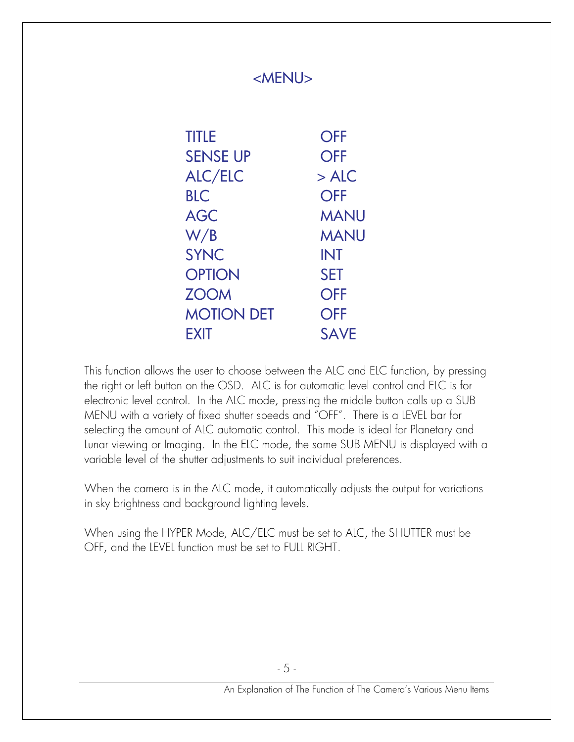| <b>TITLE</b>      | <b>OFF</b>  |
|-------------------|-------------|
| <b>SENSE UP</b>   | <b>OFF</b>  |
| ALC/ELC           | $>$ ALC     |
| <b>BLC</b>        | <b>OFF</b>  |
| <b>AGC</b>        | <b>MANU</b> |
| W/B               | <b>MANU</b> |
| <b>SYNC</b>       | <b>INT</b>  |
| <b>OPTION</b>     | <b>SET</b>  |
| <b>ZOOM</b>       | <b>OFF</b>  |
| <b>MOTION DET</b> | <b>OFF</b>  |
| FXIT              | <b>SAVE</b> |

This function allows the user to choose between the ALC and ELC function, by pressing the right or left button on the OSD. ALC is for automatic level control and ELC is for electronic level control. In the ALC mode, pressing the middle button calls up a SUB MENU with a variety of fixed shutter speeds and "OFF". There is a LEVEL bar for selecting the amount of ALC automatic control. This mode is ideal for Planetary and Lunar viewing or Imaging. In the ELC mode, the same SUB MENU is displayed with a variable level of the shutter adjustments to suit individual preferences.

When the camera is in the ALC mode, it automatically adjusts the output for variations in sky brightness and background lighting levels.

When using the HYPER Mode, ALC/ELC must be set to ALC, the SHUTTER must be OFF, and the LEVEL function must be set to FULL RIGHT.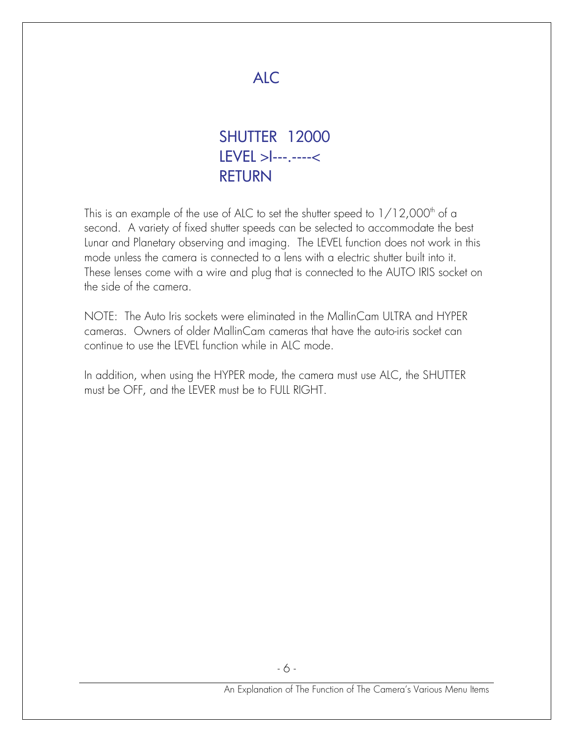

 SHUTTER 12000 LEVEL >I---.----< RETURN

This is an example of the use of ALC to set the shutter speed to  $1/12,000$ <sup>th</sup> of a second. A variety of fixed shutter speeds can be selected to accommodate the best Lunar and Planetary observing and imaging. The LEVEL function does not work in this mode unless the camera is connected to a lens with a electric shutter built into it. These lenses come with a wire and plug that is connected to the AUTO IRIS socket on the side of the camera.

NOTE: The Auto Iris sockets were eliminated in the MallinCam ULTRA and HYPER cameras. Owners of older MallinCam cameras that have the auto-iris socket can continue to use the LEVEL function while in ALC mode.

In addition, when using the HYPER mode, the camera must use ALC, the SHUTTER must be OFF, and the LEVER must be to FULL RIGHT.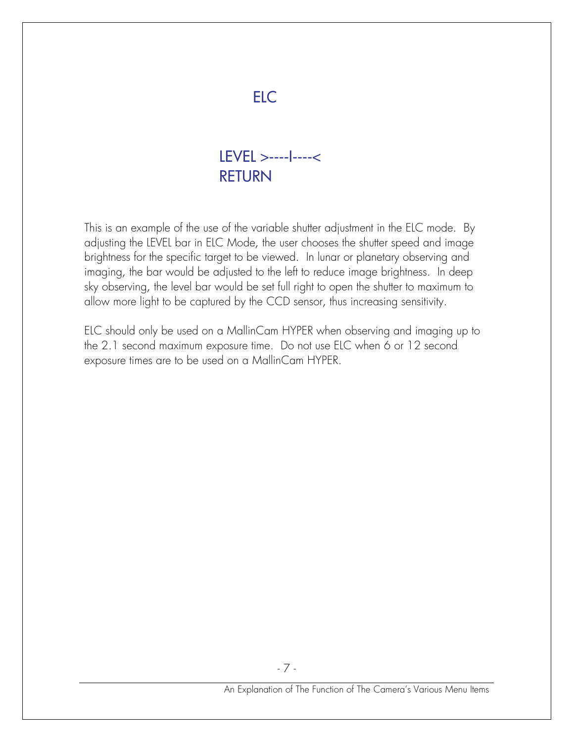## ELC

## LEVEL >----I----< RETURN

This is an example of the use of the variable shutter adjustment in the ELC mode. By adjusting the LEVEL bar in ELC Mode, the user chooses the shutter speed and image brightness for the specific target to be viewed. In lunar or planetary observing and imaging, the bar would be adjusted to the left to reduce image brightness. In deep sky observing, the level bar would be set full right to open the shutter to maximum to allow more light to be captured by the CCD sensor, thus increasing sensitivity.

ELC should only be used on a MallinCam HYPER when observing and imaging up to the 2.1 second maximum exposure time. Do not use ELC when 6 or 12 second exposure times are to be used on a MallinCam HYPER.

- 7 -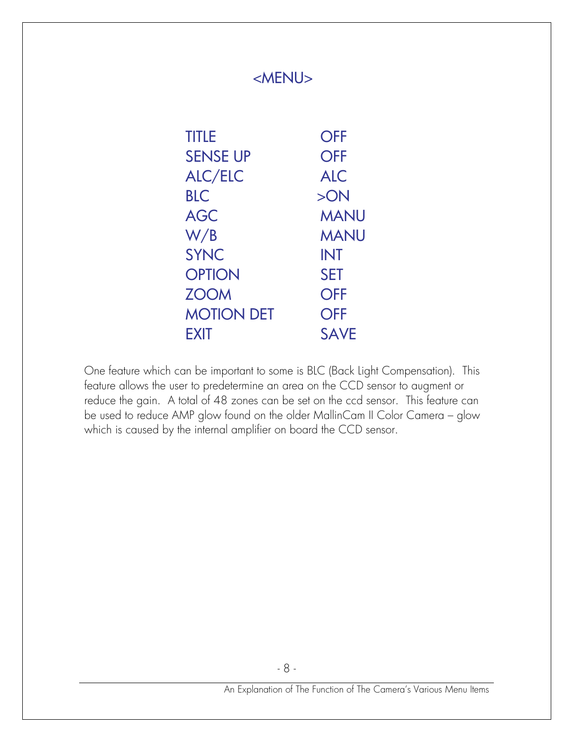| <b>TITLE</b>      | <b>OFF</b>  |
|-------------------|-------------|
| <b>SENSE UP</b>   | <b>OFF</b>  |
| <b>ALC/ELC</b>    | <b>ALC</b>  |
| <b>BLC</b>        | >ON         |
| <b>AGC</b>        | <b>MANU</b> |
| W/B               | <b>MANU</b> |
| <b>SYNC</b>       | <b>INT</b>  |
| <b>OPTION</b>     | <b>SET</b>  |
| <b>ZOOM</b>       | <b>OFF</b>  |
| <b>MOTION DET</b> | <b>OFF</b>  |
| <b>FXIT</b>       | <b>SAVE</b> |

One feature which can be important to some is BLC (Back Light Compensation). This feature allows the user to predetermine an area on the CCD sensor to augment or reduce the gain. A total of 48 zones can be set on the ccd sensor. This feature can be used to reduce AMP glow found on the older MallinCam II Color Camera – glow which is caused by the internal amplifier on board the CCD sensor.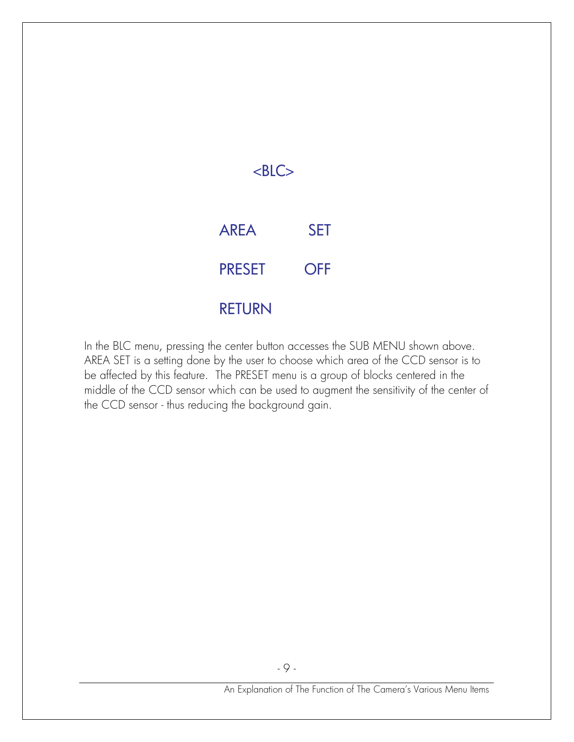

In the BLC menu, pressing the center button accesses the SUB MENU shown above. AREA SET is a setting done by the user to choose which area of the CCD sensor is to be affected by this feature. The PRESET menu is a group of blocks centered in the middle of the CCD sensor which can be used to augment the sensitivity of the center of the CCD sensor - thus reducing the background gain.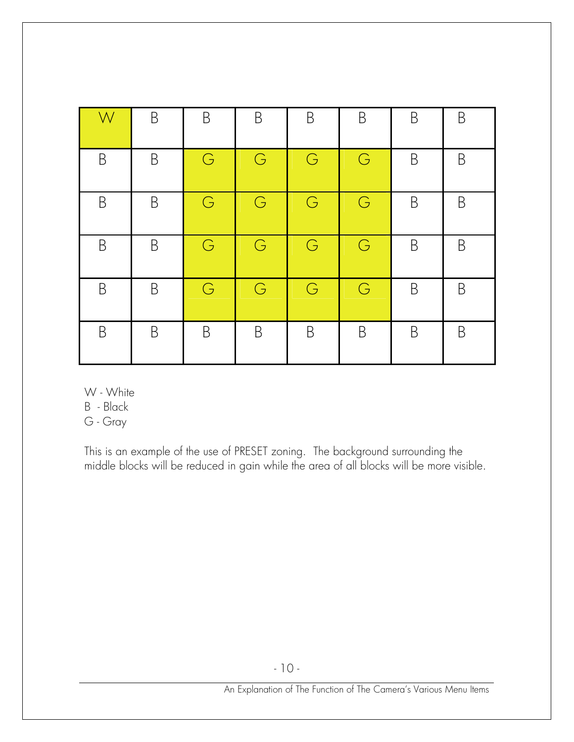| W           | B           | B | B | B | B | B | B |
|-------------|-------------|---|---|---|---|---|---|
| B           | B           | G | G | G | G | B | B |
| B           | B           | G | G | G | G | B | B |
| B           | B           | G | G | G | G | B | B |
| $\mathsf B$ | $\mathsf B$ | G | G | G | G | B | B |
| B           | B           | B | B | B | B | B | B |

W - White

B - Black

G - Gray

This is an example of the use of PRESET zoning. The background surrounding the middle blocks will be reduced in gain while the area of all blocks will be more visible.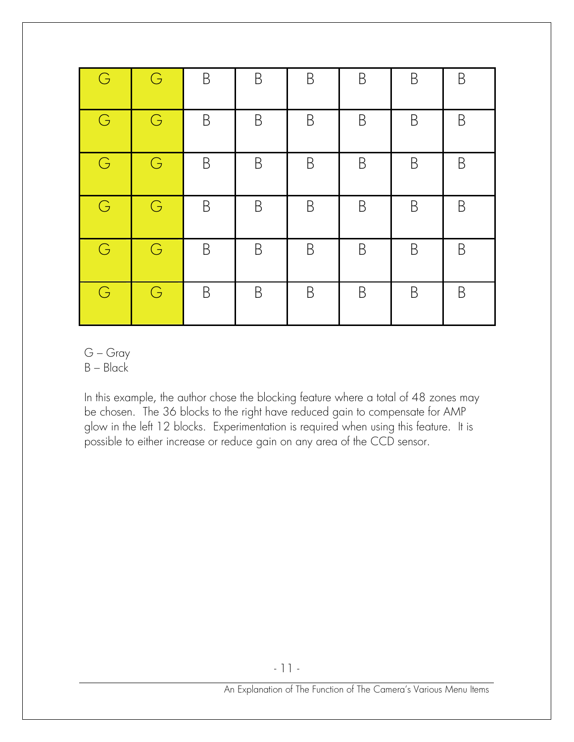| $\mathbb G$ | G          | $\mathsf B$ | B           | $\mathsf B$ | B           | $\mathsf B$ | B |
|-------------|------------|-------------|-------------|-------------|-------------|-------------|---|
| G           | G          | $\mathsf B$ | $\mathsf B$ | $\mathsf B$ | $\mathsf B$ | B           | B |
| G           | G          | B           | B           | B           | B           | B           | B |
| G           | $\bigodot$ | $\mathsf B$ | $\mathsf B$ | $\mathsf B$ | B           | $\mathsf B$ | B |
| G           | $\bigodot$ | B           | B           | B           | B           | B           | B |
| G           | $\bigodot$ | B           | B           | B           | B           | B           | B |

- G Gray
- $B Black$

In this example, the author chose the blocking feature where a total of 48 zones may be chosen. The 36 blocks to the right have reduced gain to compensate for AMP glow in the left 12 blocks. Experimentation is required when using this feature. It is possible to either increase or reduce gain on any area of the CCD sensor.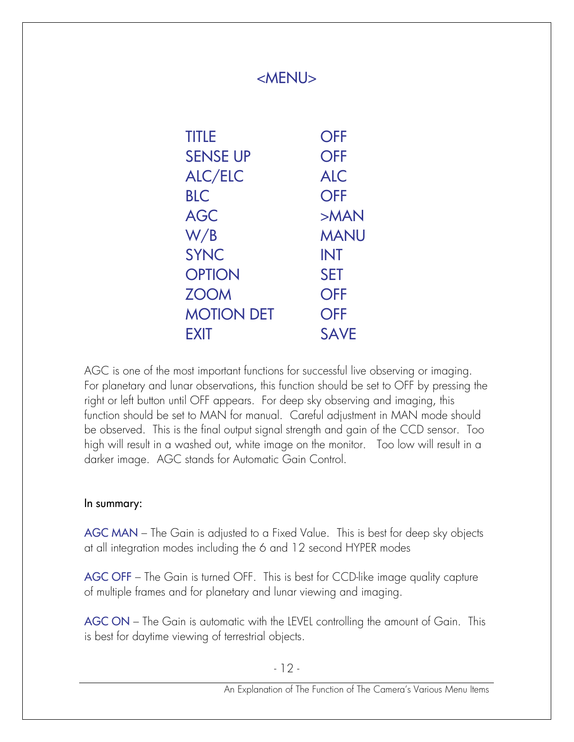| <b>TITLE</b>      | <b>OFF</b>  |
|-------------------|-------------|
| <b>SENSE UP</b>   | <b>OFF</b>  |
| <b>ALC/ELC</b>    | <b>ALC</b>  |
| <b>BLC</b>        | <b>OFF</b>  |
| <b>AGC</b>        | >MAN        |
| W/B               | <b>MANU</b> |
| <b>SYNC</b>       | <b>INT</b>  |
| <b>OPTION</b>     | <b>SET</b>  |
| <b>ZOOM</b>       | <b>OFF</b>  |
| <b>MOTION DET</b> | <b>OFF</b>  |
| EXIT              | <b>SAVE</b> |

AGC is one of the most important functions for successful live observing or imaging. For planetary and lunar observations, this function should be set to OFF by pressing the right or left button until OFF appears. For deep sky observing and imaging, this function should be set to MAN for manual. Careful adjustment in MAN mode should be observed. This is the final output signal strength and gain of the CCD sensor. Too high will result in a washed out, white image on the monitor. Too low will result in a darker image. AGC stands for Automatic Gain Control.

#### In summary:

AGC MAN – The Gain is adjusted to a Fixed Value. This is best for deep sky objects at all integration modes including the 6 and 12 second HYPER modes

AGC OFF – The Gain is turned OFF. This is best for CCD-like image quality capture of multiple frames and for planetary and lunar viewing and imaging.

AGC ON – The Gain is automatic with the LEVEL controlling the amount of Gain. This is best for daytime viewing of terrestrial objects.

- 12 -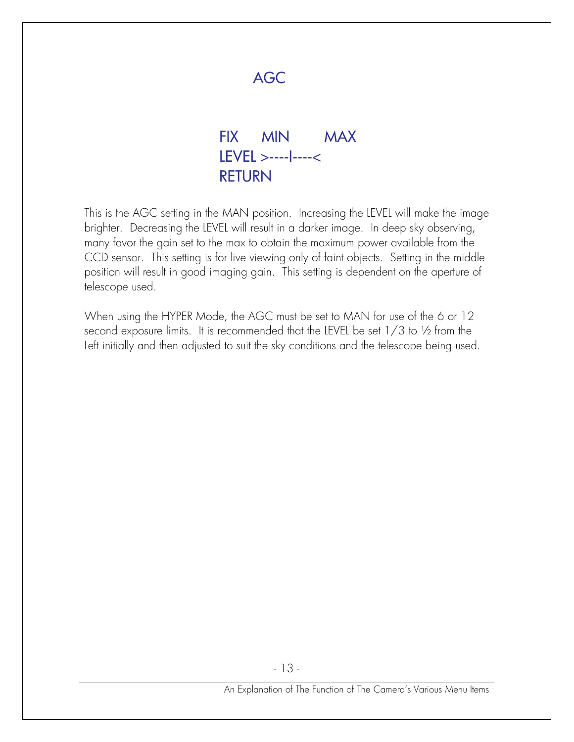

AGC

 LEVEL >----I----< RETURN

This is the AGC setting in the MAN position. Increasing the LEVEL will make the image brighter. Decreasing the LEVEL will result in a darker image. In deep sky observing, many favor the gain set to the max to obtain the maximum power available from the CCD sensor. This setting is for live viewing only of faint objects. Setting in the middle position will result in good imaging gain. This setting is dependent on the aperture of telescope used.

When using the HYPER Mode, the AGC must be set to MAN for use of the 6 or 12 second exposure limits. It is recommended that the LEVEL be set 1/3 to ½ from the Left initially and then adjusted to suit the sky conditions and the telescope being used.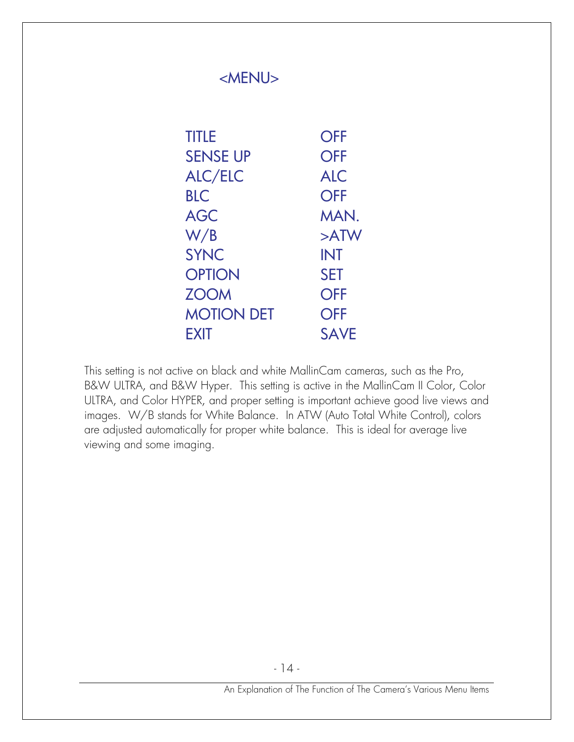| <menu></menu> |  |  |
|---------------|--|--|
|---------------|--|--|

| <b>TITLE</b>      | <b>OFF</b>  |
|-------------------|-------------|
| <b>SENSE UP</b>   | <b>OFF</b>  |
| <b>ALC/ELC</b>    | <b>ALC</b>  |
| <b>BLC</b>        | <b>OFF</b>  |
| <b>AGC</b>        | MAN.        |
| W/B               | $>$ ATW     |
| <b>SYNC</b>       | <b>INT</b>  |
| <b>OPTION</b>     | <b>SET</b>  |
| <b>ZOOM</b>       | <b>OFF</b>  |
| <b>MOTION DET</b> | <b>OFF</b>  |
| EXIT              | <b>SAVE</b> |

This setting is not active on black and white MallinCam cameras, such as the Pro, B&W ULTRA, and B&W Hyper. This setting is active in the MallinCam II Color, Color ULTRA, and Color HYPER, and proper setting is important achieve good live views and images. W/B stands for White Balance. In ATW (Auto Total White Control), colors are adjusted automatically for proper white balance. This is ideal for average live viewing and some imaging.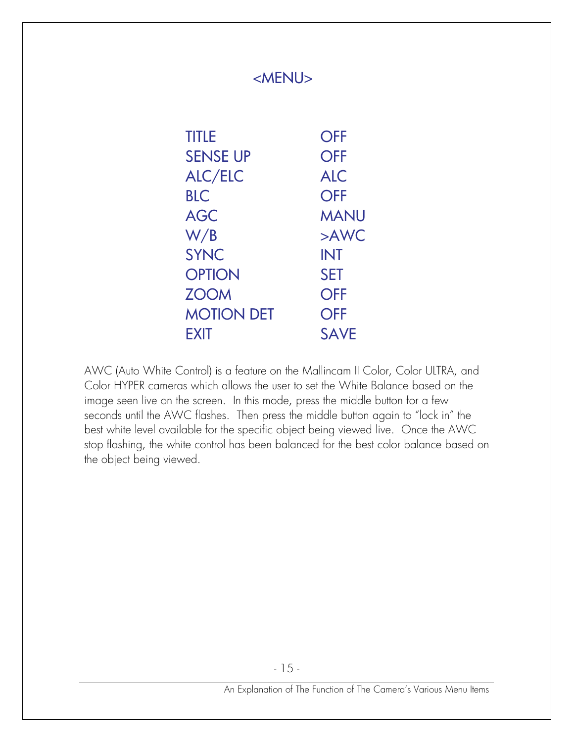| <b>TITLE</b>      | <b>OFF</b>  |
|-------------------|-------------|
| <b>SENSE UP</b>   | <b>OFF</b>  |
| <b>ALC/ELC</b>    | <b>ALC</b>  |
| <b>BLC</b>        | <b>OFF</b>  |
| <b>AGC</b>        | <b>MANU</b> |
| W/B               | >AWC        |
| <b>SYNC</b>       | <b>INT</b>  |
| <b>OPTION</b>     | <b>SET</b>  |
| <b>ZOOM</b>       | <b>OFF</b>  |
| <b>MOTION DET</b> | <b>OFF</b>  |
| EXIT              | <b>SAVE</b> |

AWC (Auto White Control) is a feature on the Mallincam II Color, Color ULTRA, and Color HYPER cameras which allows the user to set the White Balance based on the image seen live on the screen. In this mode, press the middle button for a few seconds until the AWC flashes. Then press the middle button again to "lock in" the best white level available for the specific object being viewed live. Once the AWC stop flashing, the white control has been balanced for the best color balance based on the object being viewed.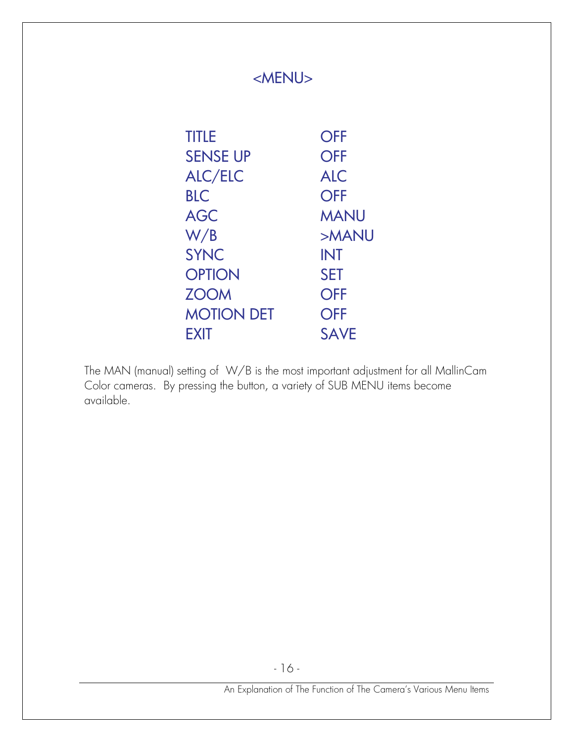| <b>TITLE</b>      | <b>OFF</b>  |
|-------------------|-------------|
| <b>SENSE UP</b>   | <b>OFF</b>  |
| <b>ALC/ELC</b>    | <b>ALC</b>  |
| <b>BLC</b>        | <b>OFF</b>  |
| <b>AGC</b>        | <b>MANU</b> |
| W/B               | >MANU       |
| <b>SYNC</b>       | <b>INT</b>  |
| <b>OPTION</b>     | <b>SET</b>  |
| <b>ZOOM</b>       | <b>OFF</b>  |
| <b>MOTION DET</b> | <b>OFF</b>  |
| EXIT              | <b>SAVE</b> |

The MAN (manual) setting of W/B is the most important adjustment for all MallinCam Color cameras. By pressing the button, a variety of SUB MENU items become available.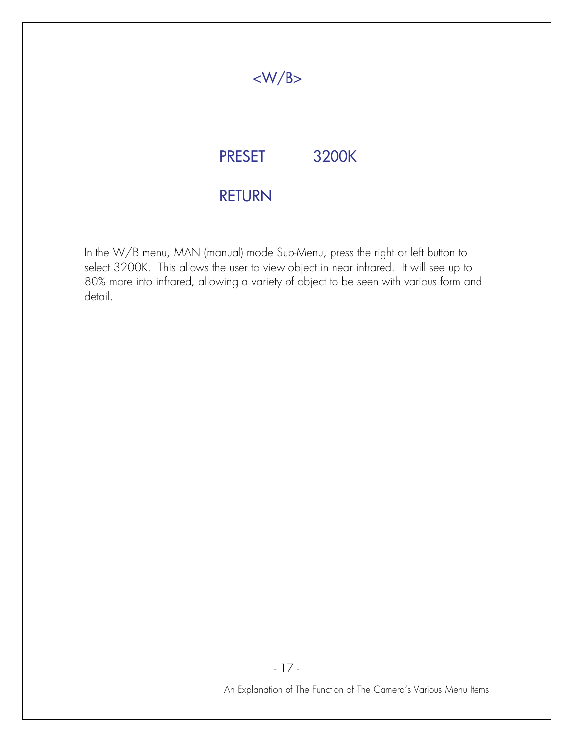## $<\!\!W/B\!\!>$

## PRESET 3200K

### RETURN

In the W/B menu, MAN (manual) mode Sub-Menu, press the right or left button to select 3200K. This allows the user to view object in near infrared. It will see up to 80% more into infrared, allowing a variety of object to be seen with various form and detail.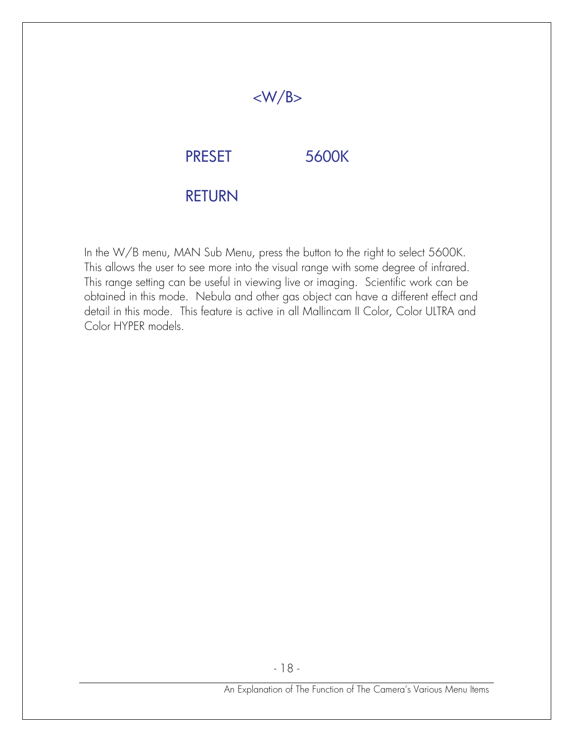# PRESET 5600K

 $<\!\!W/B\!\!>$ 

### RETURN

In the W/B menu, MAN Sub Menu, press the button to the right to select 5600K. This allows the user to see more into the visual range with some degree of infrared. This range setting can be useful in viewing live or imaging. Scientific work can be obtained in this mode. Nebula and other gas object can have a different effect and detail in this mode. This feature is active in all Mallincam II Color, Color ULTRA and Color HYPER models.

- 18 -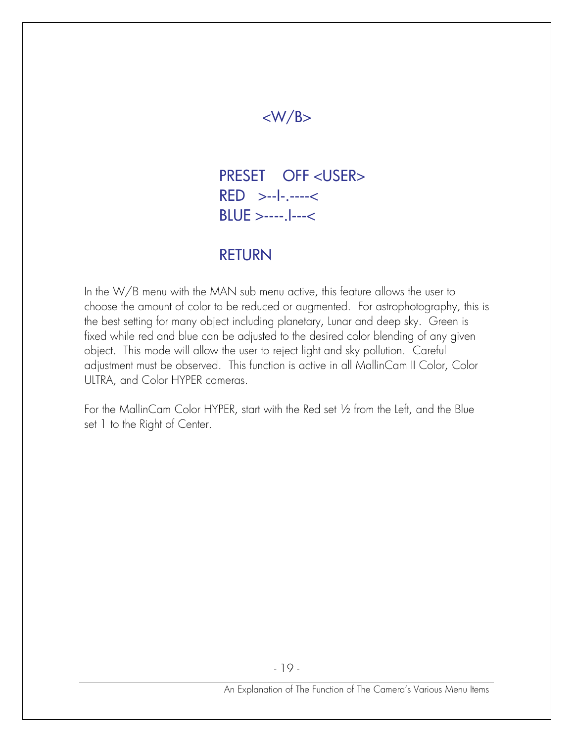## $<\!\!W/B\!\!>$

 PRESET OFF <USER> RED >--I-.----< BLUE >----.I---<

#### RETURN

In the W/B menu with the MAN sub menu active, this feature allows the user to choose the amount of color to be reduced or augmented. For astrophotography, this is the best setting for many object including planetary, Lunar and deep sky. Green is fixed while red and blue can be adjusted to the desired color blending of any given object. This mode will allow the user to reject light and sky pollution. Careful adjustment must be observed. This function is active in all MallinCam II Color, Color ULTRA, and Color HYPER cameras.

For the MallinCam Color HYPER, start with the Red set ½ from the Left, and the Blue set 1 to the Right of Center.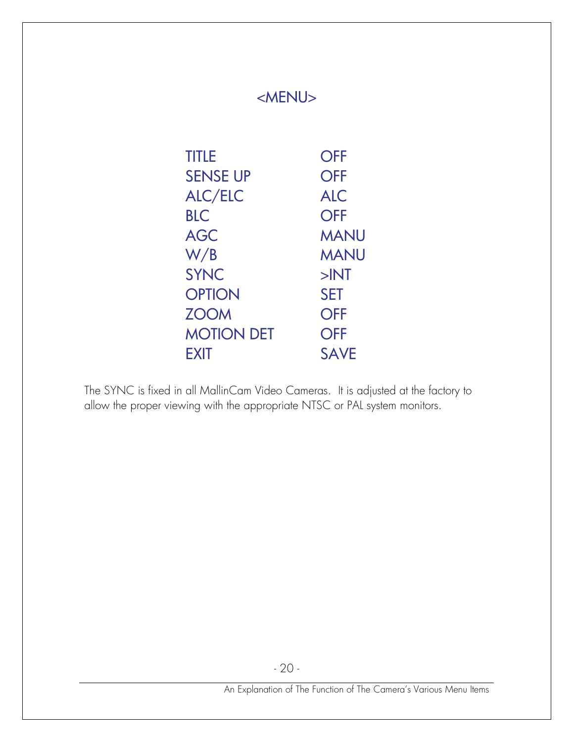| <b>TITLE</b>      | <b>OFF</b>  |
|-------------------|-------------|
| <b>SENSE UP</b>   | <b>OFF</b>  |
| <b>ALC/ELC</b>    | <b>ALC</b>  |
| <b>BLC</b>        | <b>OFF</b>  |
| <b>AGC</b>        | <b>MANU</b> |
| W/B               | <b>MANU</b> |
| <b>SYNC</b>       | $>$ $N$ T   |
| <b>OPTION</b>     | <b>SET</b>  |
| <b>ZOOM</b>       | <b>OFF</b>  |
| <b>MOTION DET</b> | <b>OFF</b>  |
| <b>EXIT</b>       | <b>SAVE</b> |
|                   |             |

The SYNC is fixed in all MallinCam Video Cameras. It is adjusted at the factory to allow the proper viewing with the appropriate NTSC or PAL system monitors.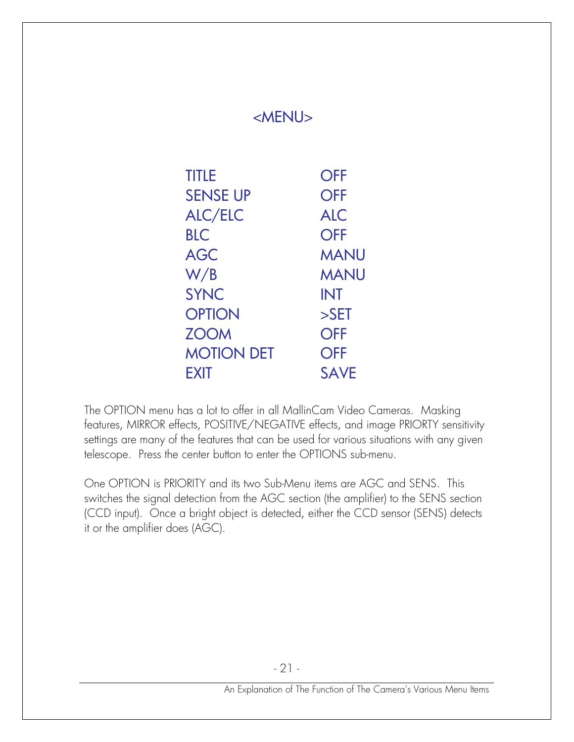| <b>TITLE</b>      | <b>OFF</b>  |
|-------------------|-------------|
| <b>SENSE UP</b>   | <b>OFF</b>  |
| <b>ALC/ELC</b>    | <b>ALC</b>  |
| <b>BLC</b>        | <b>OFF</b>  |
| <b>AGC</b>        | <b>MANU</b> |
| W/B               | <b>MANU</b> |
| <b>SYNC</b>       | <b>INT</b>  |
| <b>OPTION</b>     | $>$ SET     |
| <b>ZOOM</b>       | <b>OFF</b>  |
| <b>MOTION DET</b> | <b>OFF</b>  |
| <b>EXIT</b>       | <b>SAVE</b> |

The OPTION menu has a lot to offer in all MallinCam Video Cameras. Masking features, MIRROR effects, POSITIVE/NEGATIVE effects, and image PRIORTY sensitivity settings are many of the features that can be used for various situations with any given telescope. Press the center button to enter the OPTIONS sub-menu.

One OPTION is PRIORITY and its two Sub-Menu items are AGC and SENS. This switches the signal detection from the AGC section (the amplifier) to the SENS section (CCD input). Once a bright object is detected, either the CCD sensor (SENS) detects it or the amplifier does (AGC).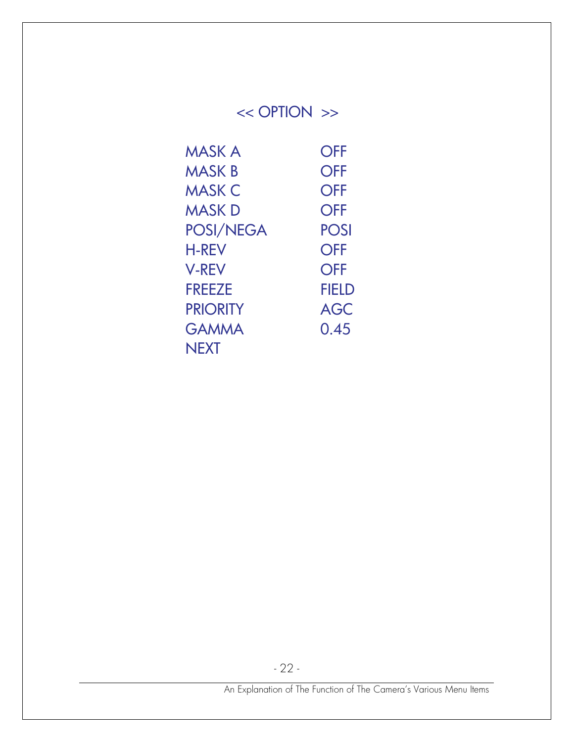# << OPTION >>

| <b>MASK A</b>   | <b>OFF</b>  |
|-----------------|-------------|
| <b>MASK B</b>   | <b>OFF</b>  |
| <b>MASK C</b>   | <b>OFF</b>  |
| <b>MASK D</b>   | <b>OFF</b>  |
| POSI/NEGA       | <b>POSI</b> |
| <b>H-REV</b>    | <b>OFF</b>  |
| <b>V-REV</b>    | <b>OFF</b>  |
| <b>FREEZE</b>   | FIELD       |
| <b>PRIORITY</b> | <b>AGC</b>  |
| <b>GAMMA</b>    | 0.45        |
| <b>NEXT</b>     |             |

- 22 -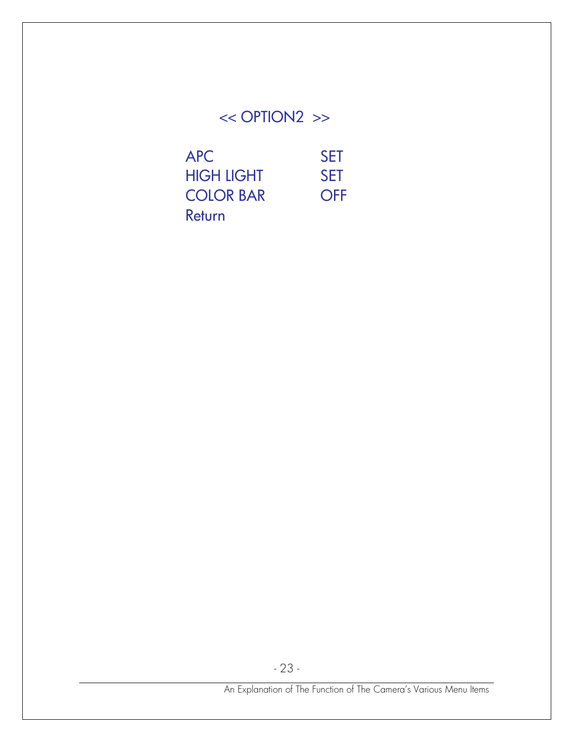# << OPTION2 >>

| <b>APC</b>        | <b>SFT</b> |
|-------------------|------------|
| <b>HIGH LIGHT</b> | <b>SFT</b> |
| <b>COLOR BAR</b>  | <b>OFF</b> |
| Return            |            |

- 23 -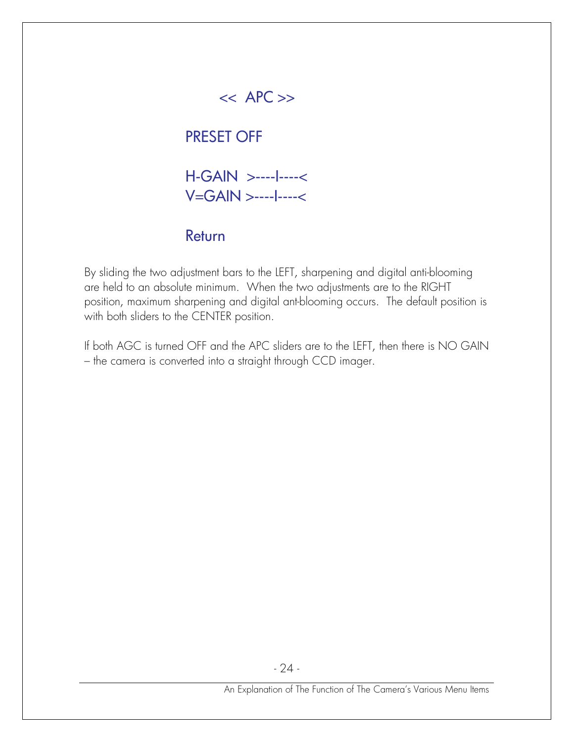## $<<$  APC  $>>$

## PRESET OFF

 H-GAIN >----I----< V=GAIN >----I----<

#### Return

By sliding the two adjustment bars to the LEFT, sharpening and digital anti-blooming are held to an absolute minimum. When the two adjustments are to the RIGHT position, maximum sharpening and digital ant-blooming occurs. The default position is with both sliders to the CENTER position.

If both AGC is turned OFF and the APC sliders are to the LEFT, then there is NO GAIN – the camera is converted into a straight through CCD imager.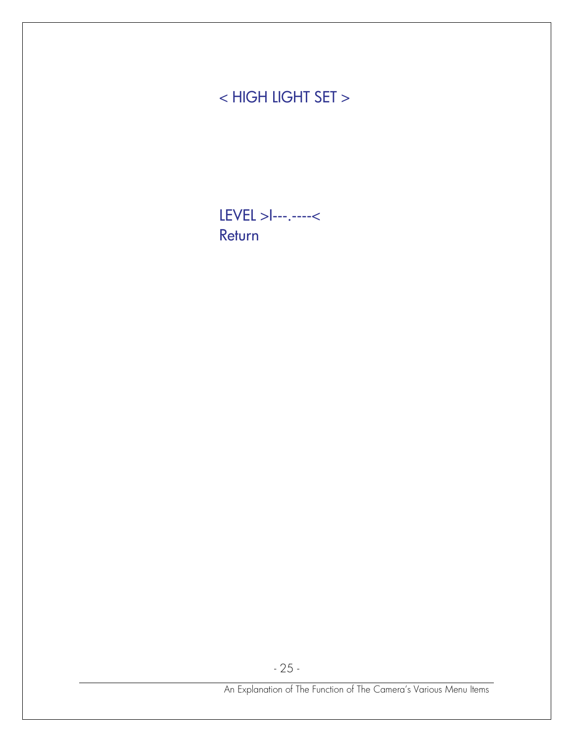# < HIGH LIGHT SET >

LEVEL >I---.----< Return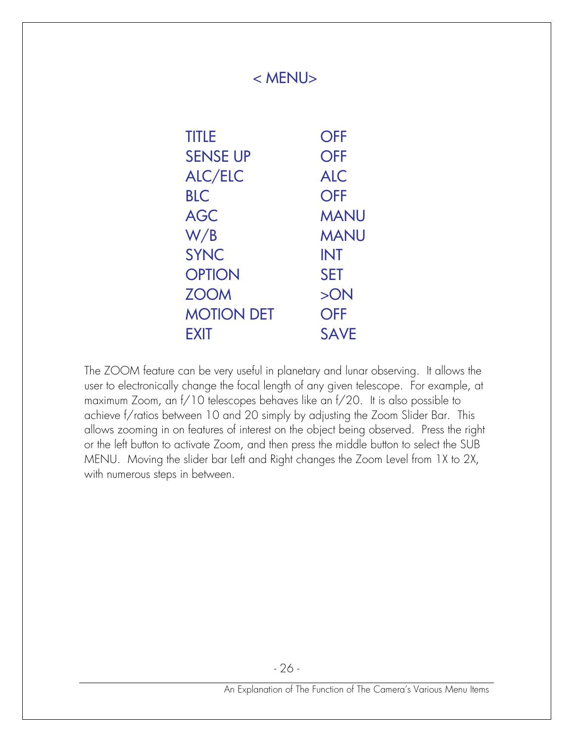| <b>TITLE</b>      | <b>OFF</b>  |
|-------------------|-------------|
| <b>SENSE UP</b>   | <b>OFF</b>  |
| <b>ALC/ELC</b>    | <b>ALC</b>  |
| <b>BLC</b>        | <b>OFF</b>  |
| <b>AGC</b>        | <b>MANU</b> |
| W/B               | <b>MANU</b> |
| <b>SYNC</b>       | <b>INT</b>  |
| <b>OPTION</b>     | <b>SET</b>  |
| <b>ZOOM</b>       | >ON         |
| <b>MOTION DET</b> | <b>OFF</b>  |
| EXIT              | <b>SAVE</b> |
|                   |             |

The ZOOM feature can be very useful in planetary and lunar observing. It allows the user to electronically change the focal length of any given telescope. For example, at maximum Zoom, an f/10 telescopes behaves like an f/20. It is also possible to achieve f/ratios between 10 and 20 simply by adjusting the Zoom Slider Bar. This allows zooming in on features of interest on the object being observed. Press the right or the left button to activate Zoom, and then press the middle button to select the SUB MENU. Moving the slider bar Left and Right changes the Zoom Level from 1X to 2X, with numerous steps in between.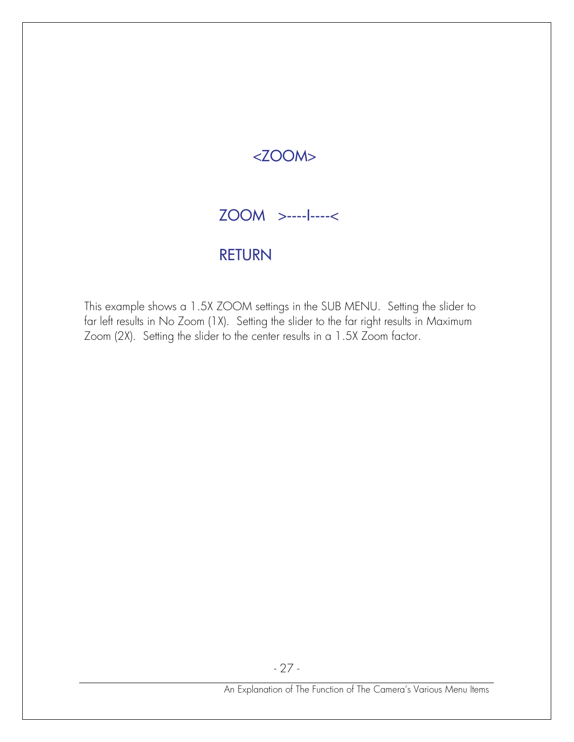## $<$ ZOOM $>$

## ZOOM >----I----<

#### RETURN

This example shows a 1.5X ZOOM settings in the SUB MENU. Setting the slider to far left results in No Zoom (1X). Setting the slider to the far right results in Maximum Zoom (2X). Setting the slider to the center results in a 1.5X Zoom factor.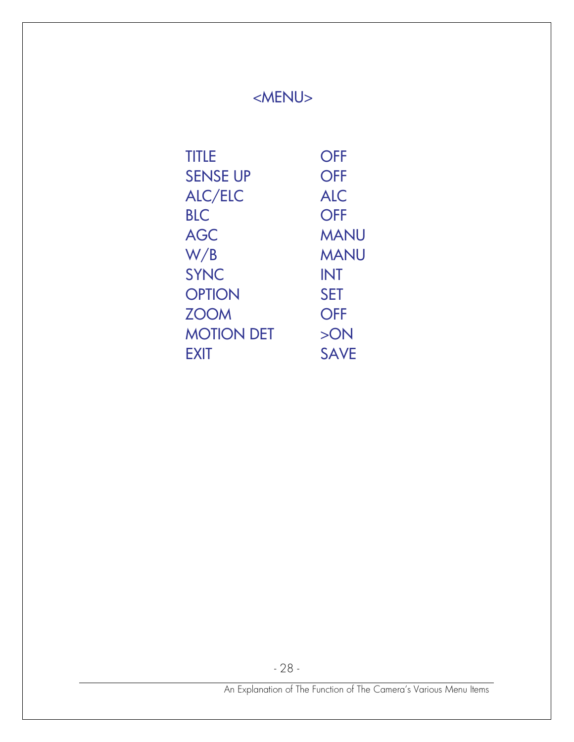| <b>TITLE</b>      | <b>OFF</b>  |
|-------------------|-------------|
| <b>SENSE UP</b>   | <b>OFF</b>  |
| ALC/ELC           | <b>ALC</b>  |
| <b>BLC</b>        | <b>OFF</b>  |
| <b>AGC</b>        | <b>MANU</b> |
| W/B               | <b>MANU</b> |
| <b>SYNC</b>       | <b>INT</b>  |
| <b>OPTION</b>     | <b>SET</b>  |
| <b>ZOOM</b>       | <b>OFF</b>  |
| <b>MOTION DET</b> | >ON         |
| EXIT              | <b>SAVE</b> |

- 28 -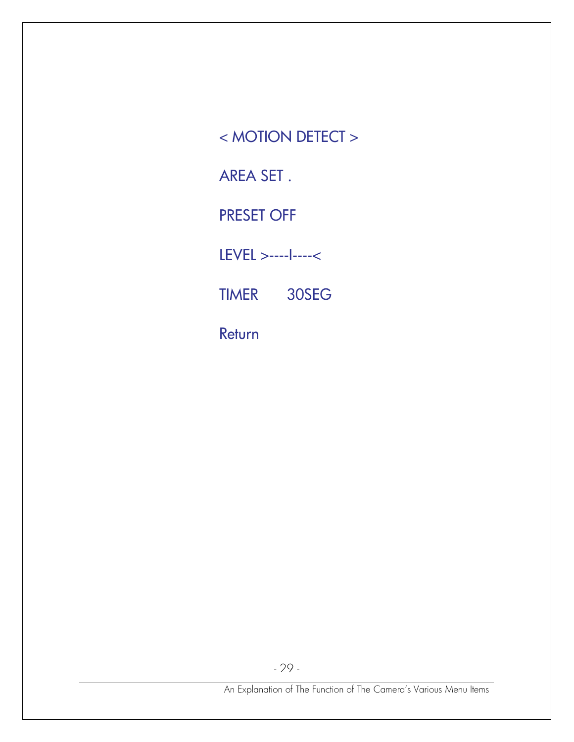< MOTION DETECT >

AREA SET .

PRESET OFF

LEVEL >----I----<

TIMER 30SEG

Return

- 29 -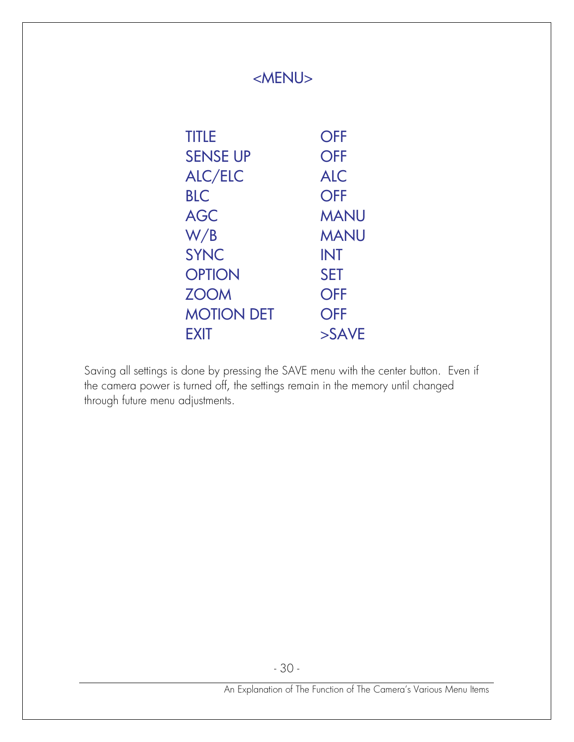| <b>TITLE</b>      | <b>OFF</b>       |
|-------------------|------------------|
| <b>SENSE UP</b>   | <b>OFF</b>       |
| <b>ALC/ELC</b>    | <b>ALC</b>       |
| <b>BLC</b>        | <b>OFF</b>       |
| <b>AGC</b>        | <b>MANU</b>      |
| W/B               | <b>MANU</b>      |
| <b>SYNC</b>       | <b>INT</b>       |
| <b>OPTION</b>     | <b>SET</b>       |
| <b>ZOOM</b>       | <b>OFF</b>       |
| <b>MOTION DET</b> | <b>OFF</b>       |
| <b>FXIT</b>       | $>\mathsf{SAVE}$ |

Saving all settings is done by pressing the SAVE menu with the center button. Even if the camera power is turned off, the settings remain in the memory until changed through future menu adjustments.